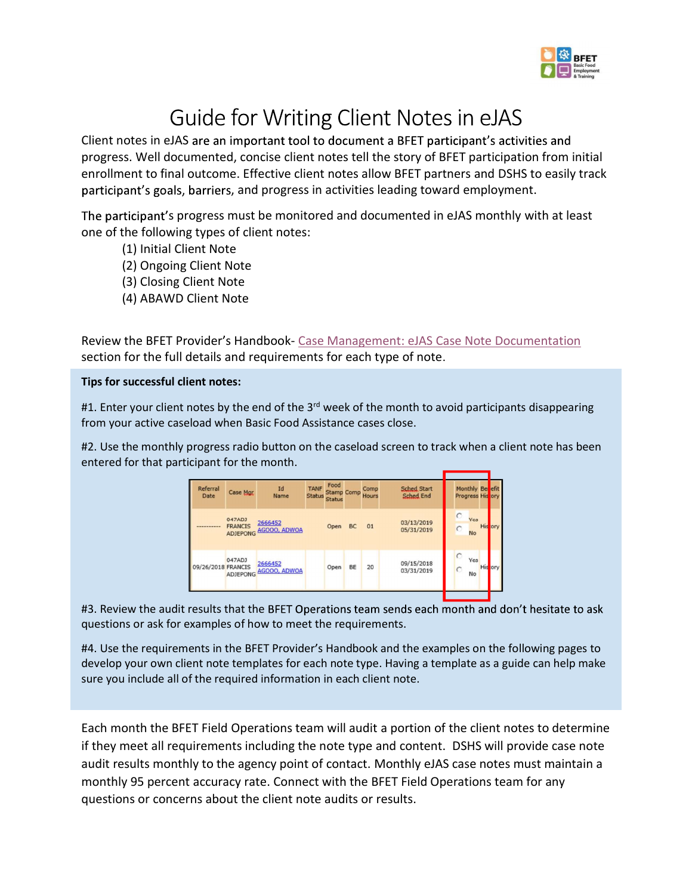

Guide for Writing Client Notes in eJAS<br>Client notes in eJAS are an important tool to document a BFET participant's activ<br>progress. Well documented, concise client notes tell the story of BFET participat<br>enrollment to final **Progress.** Well documented, concise client notes tell the story of BFET participant's activities and progress. Well documented, concise client notes tell the story of BFET participation from initial enrollment to final ou **Example 19 CONTROLLER CONTROLLER CONTROLLER CONTROLLER CONTROLLER CONTROLLER CONTROLLER CONTROLLER CONTROLLER CONTROLLER CONTROLLER CONTROLLER CONTROLLER CONTROLLER CONTROLLER CONTROLLER CONTROLLER CONTROLLER CONTROLLER C SECUTE 1999 1999 1999 1999 1999 1999 10:**<br> **SECUTE 1999 10:**<br> **SECUTE 1999 10:**<br> **SECUTE 1999 10:**<br> **SECUTE 1999 10:**<br> **SECUTE 1999 10:**<br> **ECUTE 1999 10:**<br> **ECUTE 1999 10:**<br> **ECUTE 1999 10:**<br> **ECUTE 1999 10:**<br> **ECUTE 1999 SURGE STATE OF STATE OF STATE OF STATE OF STATE OF STATE OF STATE STATE OF STATE AND STATE AND STATE STATE OF STATE DATABALD STATE STATE DATABATE STATE OF STATE DATABATE AND AN ORDER THAT AND SURFACT AND SURFACT AND SURFA Suide for Writing Client Notes in eJAS**<br>Client notes in eJAS are an important tool to document a BFET participant's activity<br>progress. Well documented, concise client notes tell the story of BFET participation<br>enrollment Client notes in elaS are an important tool to document a BHEI participants activities and<br>enrollment to final outcome. Effective client notes tell the story of BFET partners and DSHS to easily track<br>participant's goals, b enrollment to final outcome. Effective client notes allow BFET partners and DSHS to easily track<br>participant's goals, barriers, and progress in activities leading toward employment.<br>The participant's progress must be moni

- (1) Initial Client Note
- (2) Ongoing Client Note
- (3) Closing Client Note
- (4) ABAWD Client Note

| participant's goals, barriers, and progress in activities leading toward employment.                                                                                                                                                                                                                                                                                                                                                                                     |
|--------------------------------------------------------------------------------------------------------------------------------------------------------------------------------------------------------------------------------------------------------------------------------------------------------------------------------------------------------------------------------------------------------------------------------------------------------------------------|
| The participant's progress must be monitored and documented in eJAS monthly with at least<br>one of the following types of client notes:<br>(1) Initial Client Note<br>(2) Ongoing Client Note<br>(3) Closing Client Note<br>(4) ABAWD Client Note                                                                                                                                                                                                                       |
| Review the BFET Provider's Handbook- Case Management: eJAS Case Note Documentation<br>section for the full details and requirements for each type of note.                                                                                                                                                                                                                                                                                                               |
| Tips for successful client notes:                                                                                                                                                                                                                                                                                                                                                                                                                                        |
| #1. Enter your client notes by the end of the 3 <sup>rd</sup> week of the month to avoid participants disappearing<br>from your active caseload when Basic Food Assistance cases close.                                                                                                                                                                                                                                                                                  |
| #2. Use the monthly progress radio button on the caseload screen to track when a client note has been<br>entered for that participant for the month.                                                                                                                                                                                                                                                                                                                     |
| Food<br><b>Sched Start</b><br>Monthly Ber<br>Id<br>Referral<br>Status Status<br>Status Status<br>Hours<br>Case Mgr<br><b>Sched End</b><br>Progress His <mark>t</mark> on<br>Date<br>Name<br>047ADJ<br>Yes<br>03/13/2019<br>2666452<br><b>FRANCIS</b><br>01<br>Open<br><b>BC</b><br>His<br>05/31/2019<br>ADJEPONG AGOOO, ADWOA<br>047ADJ<br>Yes<br>09/15/2018<br>2666452<br>09/26/2018 FRANCIS<br>Open BE<br>20<br>His on<br>AGOOO, ADWOA<br>03/31/2019<br>No<br>ADJEPONG |
| #3. Review the audit results that the BFET Operations team sends each month and don't hesitate to ask<br>questions or ask for examples of how to meet the requirements.                                                                                                                                                                                                                                                                                                  |
| #4. Use the requirements in the BFET Provider's Handbook and the examples on the following pages to<br>develop your own client note templates for each note type. Having a template as a guide can help make<br>sure you include all of the required information in each client note.                                                                                                                                                                                    |
| Each month the BFET Field Operations team will audit a portion of the client notes to determine<br>if they meet all requirements including the note type and content DSHS will provide case note                                                                                                                                                                                                                                                                         |

Each month propress radio button on the caseload screen to track when a client note has been<br>entered for that participant for the month.<br>
The case of the case of the case of the case of the case of the case of the case of Findered for the participant for the month.<br>
The most content in the month of the most content in the most content in the most content in the content of the most content in the content in the Content of the most content in **Example and the agency of contact.** The agency point of contact. Monthly eJAS case notes must maintain a<br>
survey the audit results that the BFT Operations team sends each month and don't hesitate to ask<br>
43. Review the a **EXECUTE ACCURACY CONFIDENTIAL CONFIDENTIAL CONFIDENTIAL CONFIDENTIAL CONFIDENTIAL CONFIDENTIAL CONFIDENTIAL CONFIDENTIAL CONFIDENTIAL CONFIDENTIAL CONFIDENTIAL CONFIDENTIAL CONFIDENTIAL CONFIDENTIAL CONFIDENTIAL CONFIDENT** questions or concerns about the client note audits or results.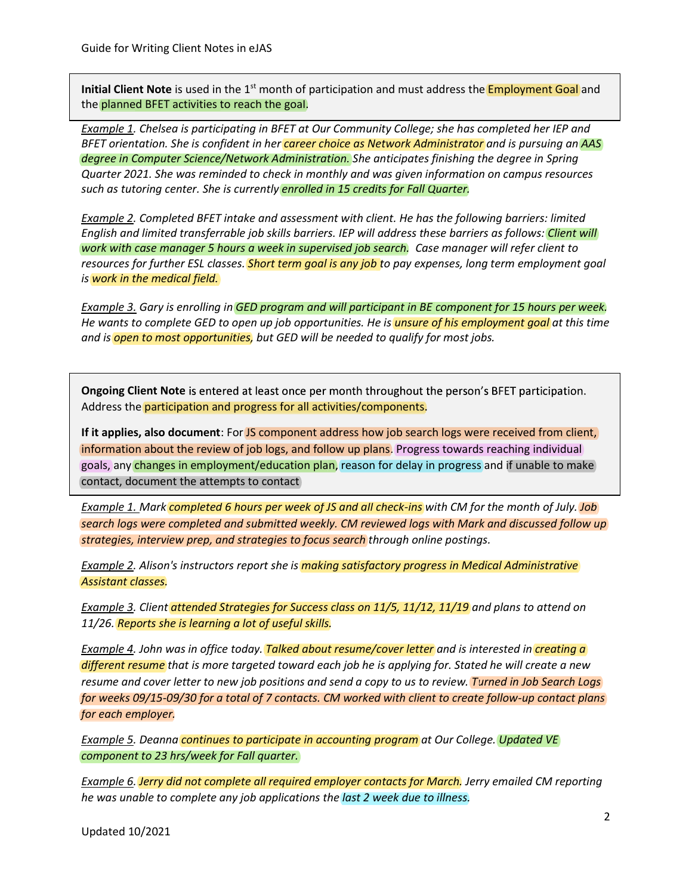Initial Client Note is used in the 1<sup>st</sup> month of participation and must address the **Employment Goal** and

Guide for Writing Client Notes in eJAS<br>Initial Client Note is used in the 1<sup>st</sup> month of participation and must address the <mark>Employment Goal</mark> and<br>the <mark>planned BFET activities to reach the goal.</mark><br>Example 1. Chelsea is parti Guide for Writing Client Notes in eJAS<br>Initial Client Note is used in the 1<sup>st</sup> month of participation and must address the <mark>Employment Goal</mark> are<br>the <mark>planned BFET activities to reach the goal</mark>.<br><u>Example 1</u>, Chelsea is par Example 1. Chelsea is participating in BFET at Our Community College; she has completed her IEP and Guide for Writing Client Notes in eJAS<br>Initial Client Note is used in the 1<sup>st</sup> month of participation and must address the <mark>Employment Goal</mark> and<br>the <mark>planned BFET activities to reach the goal.</mark><br><u>Example 1</u>, Chelsea is par degree in Computer Science/Network Administration. She anticipates finishing the degree in Spring Quarter 2021. She was reminded to check in monthly and was given information on campus resources Guide for Writing Client Notes in eJAS<br>Initial Client Note is used in the 1<sup>1</sup> month of participation and must address the <mark>Employment Goal</mark> and<br>the <mark>planned BFET activities to reach the goal</mark>.<br><u>Example 1</u>, Crelse is parti Guide for Writing Client Notes in eJAS<br>Initial Client Note is used in the 1<sup>11</sup> month of participation and must address the <mark>Employment Goal</mark> and<br>the <mark>planned BFET activities to reach the goal.</mark><br><u>Example 1</u>, Chelsen is por Guide for Writing Client Notes in eJAS<br> **Initial Client Note** is used in the 1<sup>34</sup> month of participation and must address the <mark>Employment Goal</mark> and<br>
the <mark>planned BFET activities to reach the goal.</mark><br>
<u>Example 1</u>. Chelsed i BFET orientation. She is confident in her *career choice as Network Administrator* and is pursuing an AAS

Example 2. Completed BFET intake and assessment with client. He has the following barriers: limited English and limited transferrable job skills barriers. IEP will address these barriers as follows: Client will work with case manager 5 hours a week in supervised job search. Case manager will refer client to is work in the medical field. such as tutoring center. She is currently <mark>enrolled in 15 credits for Foll Quarter.</mark><br>Ex<u>ample 2</u>, Completed BFET intoke and assessment with client. He has the following barriers: limited<br>Finalish and limited transferrable English and limited transferrable job skills barriers. IEP will address these barriers as follows: Client will<br>work with cose monoger 5 hours a week in supervised job search. Case manager will refer client to<br>resources for resources for further ESL classes. Short term goal is any job to pay expenses, long term employment goal

He wants to complete GED to open up job opportunities. He is *unsure of his employment goal* at this time and is <mark>open to most opportunities</mark>, but GED will be needed to qualify for most jobs.

Ongoing Client Note is entered at least once per month throughout the person's BFET participation. Address the participation and progress for all activities/components.

If it applies, also document: For JS component address how job search logs were received from client, information about the review of job logs, and follow up plans. Progress towards reaching individual **the entity** contact, document the attempts to contact me wanns to complete ace to to uper up plot uppor uppor uppor uppor the strategies for the strategies for the strategies for all activities for the present's form and is open to most opportunities, but GED will be needed t ny changes in employment/education plan, reason for delay in progress and if unable to make

search logs were completed and submitted weekly. CM reviewed logs with Mark and discussed follow up strategies, interview prep, and strategies to focus search through online postings.

<u>Example 2</u>. Alison's instructors report she is <mark>making satisfactory progress in Medical Administrative</mark><br><mark>Assistant classes.</mark><br>Example <u>3</u>. Client <mark>attended Strategies for Success class on 11/5, 11/12, 11/19</mark> and plans to a Assistant classes.

11/26. Reports she is learning a lot of useful skills.

Ongoing Client Note is entered at least once per month throughout the person's BFET participation.<br>Address the <mark>participation and progress for all activities/components</mark><br>If it applies, also document: For <mark>35 component addr</mark> Ongoing Client Note is entered at least once per month throughout the person's BFET participation.<br>Address the <mark>participation and progress for all activities/components</mark><br>information about the review of job logs, and follow resume and cover letter to new job positions and send a copy to us to review. Turned in Job Search Logs for weeks 09/15-09/30 for a total of 7 contacts. CM worked with client to create follow-up contact plans for each employer. goals, any <mark>changes in employment/education plan</mark>, reason for delay in progress and if unable to make<br>
<u>Example 1. Mork completed 6 hours per week of JS and all checkins</u> with CM for the month of July. Job<br>
<u>Example 1. Mor</u> contact, document the attempts to contact<br>
<u>Example 1.</u> Mark completed 6 hours per week of JS and all check-ins with CM for the month of July. Jo<br>
search logs were completed and submitted weekly. CM reviewed logs with Mark Example 1. Mark <mark>completed 6 hours per week of JS and all check-ins</mark> with CM for the month of July. Job<br>serach logs were completed and submitted weekly. CM reviewed logs with Mark and discussed follow up<br>strategies, interv Example 4. John was in office today. Talked about resume/cover letter and is interested in creating a different resume that is more targeted toward each job he is applying for. Stated he will create a new activities to reach the goal.<br>
activities to reach the goal.<br>
as participating in BFET at Our Community College; she has core is senting in a participation in the rate are choice as Network Administrator or Science/Network enter. She is currently enrolled in 15 credits for Fall Quorter.<br>
Need BFET intoke and ossessment with client. He has the following barriers: limited<br>
detronsferrable job skills barriers. IEP will address these barriers as

**Example 5.** Deanna **continues to participate in accounting program** at Our College. Updated VE

he was unable to complete any job applications the last 2 week due to illness. Example 6. Jerry did not complete all required employer contacts for March. Jerry emailed CM reporting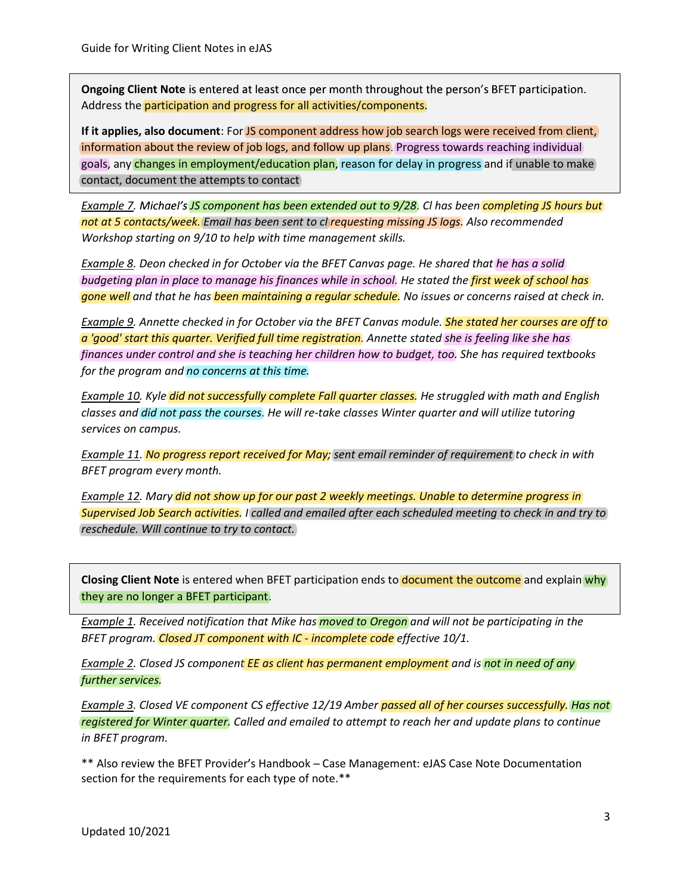**Ongoing Client Note** is entered at least once per month throughout the person's BFET participation. Address the participation and progress for all activities/components.

If it applies, also document: For JS component address how job search logs were received from client, information about the review of job logs, and follow up plans. Progress towards reaching individual Guide for Writing Client Notes in eJAS<br> **Ongoing Client Note** is entered at least once per month throughout the person's BFET participation.<br>
Address the <mark>participation and progress for all activities/components.</mark><br>
If it a contact, document the attempts to contact Guide for Writing Client Notes in eJAS<br> **Ongoing Client Note** is entered at least once per month throughout the person's BFET participation.<br> **Anderess the participation and progress for all activities/components.**<br> **If it** ny changes in employment/education plan, reason for delay in progress and if unable to make

Example 7. Michael's JS component has been extended out to 9/28. Cl has been completing JS hours but not at 5 contacts/week. Email has been sent to cl<mark>requesting missing JS logs.</mark> Also recommended

Example 8. Deon checked in for October via the BFET Canvas page. He shared that he has a solid budgeting plan in place to manage his finances while in school. He stated the <mark>first week of school has</mark> gone well and that he has been maintaining a regular schedule. No issues or concerns raised at check in.

Guide for Writing Client Notes in eJAS<br> **Ongoing Client Note** is entered at least once per month throughout the person's BFET participation.<br>
If it applies, also document: For JS component address how job search logs were Example 9. Annette checked in for October via the BFET Canvas module. **She stated her courses are off to** a 'good' start this quarter. Verified full time registration<mark>.</mark> Annette stated she is feeling like she has finances under control and she is teaching her children how to budget, too. She has required textbooks for the program and no concerns at this time. If it applies, also document: For <mark>15 component address how job search logs were received from client,<br>information about the review of job logs, and follow up plans. Progress towards reaching individual<br>goals, any changes </mark> contact, document the attempts to contact<br>Example 7. Michael's <mark>15 component has been extended out to 9/28</mark>. Cl has been <mark>completing JS hours but<br>not at 5 contacts/week. Email has been sent to clrequesting missing JS logs.</mark> not at 5 contacts/week. Email has been sent to clrequesting missing JS logs. Also recommended<br>Workshop starting on 9/10 to help with time management skills.<br>Example 2, Deon checked in for October via the BFET Canvas page. Workshop starting on 9/10 to help with time management skills.<br><u>Example 8.</u> Deon checked in for October via the BFET Canvas page. He shared that he has a solid budgeting plan in place to manage his flatomage implementation for the must make the checked in for October violent and the first Cannot meantle in Special Decision in the Color Color to the Color violent Checked in the Color Color violent Checked in the Color Color Color Color Color **Example 15 South 15 South 15 South 15 South 15 Southern State 16 Southern State 16 South 15 South 16 Southern State 16 Southern State 16 Southern Carvas module. She stated her courses of Canvas module. She stated her cour** 

classes and did not pass the courses. He will re-take classes Winter quarter and will utilize tutoring services on campus. **a good stort this quarret, veryined metropy the registration**. Annexers stated sine is jeeling the schild not societized to the program and no concerns at this time.<br>
<u>Example 10</u>. Kyle did not successfully complete Fall pinances under continuin and sine is teaching neir children in ow to budget, too. She has required textools s<br>Example 10. Kyle **did** not successfully complete Fall quarter closses. He struggled with math and English<br>classe Example 10. Kyle did not successfully complete Fall quarter closses. He struggled with math and English<br>classes and did not pass the courses. He will re-take classes Winter quarter and will utilize tutoring<br>example 11. No <mark>successfully complete Fall quarter classes</mark>. He struggled with math and English<br>he courses. He will re-take classes Winter quarter and will utilize tutoring<br><mark>report received for May;</mark> sent email reminder of requirement to He will re-take classes

BFET program every month.

reschedule. Will continue to try to contact. Example 12. Mary did not show up for our past 2 weekly meetings. Unable to determine progress in Supervised Job Search activities. I called and emailed after each scheduled meeting to check in and try to

they are no longer a BFET participant. Closing Client Note is entered when BFET participation ends to document the outcome and explain why

BFET program. Closed JT component with IC - incomplete code effective 10/1. Example 1. Received notification that Mike has moved to Oregon and will not be participating in the

further services. **Example 2.** Closed JS component EE as client has permanent employment and is not in need of any

services on campus.<br><u>Example 11</u>. <mark>No progress report received for May</mark>; sent email reminder of requirement to check in with<br>BFET program every month.<br>
<u>Example 12</u>. Mary <mark>did not show up for our past 2 weekly meetings. Un</mark> registered for Winter quarter. Called and emailed to attempt to reach her and update plans to continue in BFET program. Example 12. Mary did not show up for our past 2 weekly meetings. Unable to determine progress in<br>Supervised Job Search activities. I called and emailed after each scheduled meeting to check in and try to<br>erschedule. Will c courses successfully. Has not not in need of any<br>rses successfully. Has no<br>odate plans to continue

section for the requirements for each type of note.\*\*